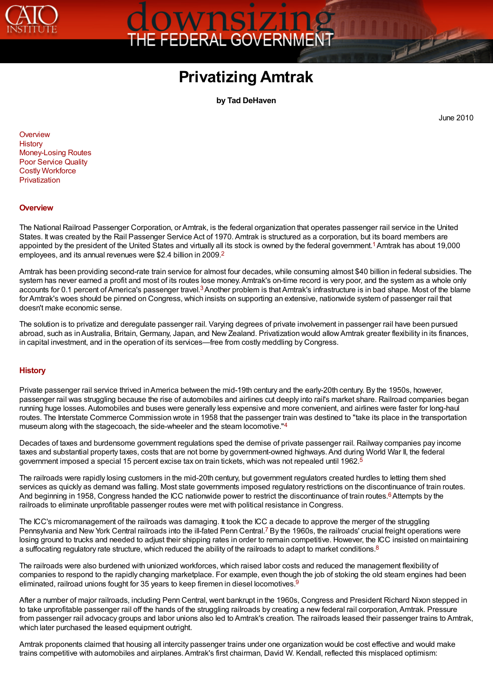

# OWNS1Z102

# **Privatizing Amtrak**

<span id="page-0-4"></span>**by Tad DeHaven**

<span id="page-0-3"></span>June 2010

**The Company** 

<span id="page-0-2"></span>**[Overview](#page-0-0) [History](#page-0-1)** [Money-Losing Routes](#page-1-0) [Poor Service Quality](#page-2-0) [Costly Workforce](#page-2-1) [Privatization](#page-3-0)

#### <span id="page-0-0"></span>**[Overview](#page-0-2)**

The National Railroad Passenger Corporation, or Amtrak, is the federal organization that operates passenger rail service in the United States. It was created by the Rail Passenger Service Act of 1970. Amtrak is structured as a corporation, but its board members are States[.](#page-3-1) It was created by the Nail Passenger Service Act of 1970. Amilian is structured as a corporation, but its board members are appointed by the president of the United States and virtually all its stock is owned by th employees, and its annual revenues were \$2.4 billion in 2009. [2](#page-3-2)

<span id="page-0-5"></span>Amtrak has been providing second-rate train service for almost four decades, while consuming almost \$40 billion in federal subsidies. The system has never earned a profit and most of its routes lose money. Amtrak's on-time record is very poor, and the system as a whole only system has never earned a pront and most or its routes lose money[.](#page-3-3) Armial is on-unle record is very poor, and the system as a whole only accounts for 0.1 percent of America's passenger travel.<sup>3</sup> Another problem is that Am for Amtrak's woes should be pinned on Congress, which insists on supporting an extensive, nationwide system of passenger rail that doesn't make economic sense.

The solution is to privatize and deregulate passenger rail. Varying degrees of private involvement in passenger rail have been pursued abroad, such as in Australia, Britain, Germany, Japan, and New Zealand. Privatization would allow Amtrak greater flexibility in its finances, in capital investment, and in the operation of its services—free from costly meddling by Congress.

#### <span id="page-0-1"></span>**[History](#page-0-2)**

Private passenger rail service thrived in America between the mid-19th century and the early-20th century. By the 1950s, however, passenger rail was struggling because the rise of automobiles and airlines cut deeply into rail's market share. Railroad companies began running huge losses. Automobiles and buses were generally less expensive and more convenient, and airlines were faster for long-haul routes. The Interstate Commerce Commission wrote in 1958 that the passenger train was destined to "take its place in the transportation museum along with the stagecoach, the side-wheeler and the steam locomotive."<sup>[4](#page-3-4)</sup>

<span id="page-0-7"></span><span id="page-0-6"></span>Decades of taxes and burdensome government regulations sped the demise of private passenger rail. Railway companies pay income taxes and substantial property taxes, costs that are not borne by government-owned highways. And during World War II, the federal government imposed a special 15 percent excise tax on train tickets, which was not repealed until 1962. [5](#page-3-5)

The railroads were rapidly losing customers in the mid-20th century, but government regulators created hurdles to letting them shed services as quickly as demand was falling. Most state governments imposed regulatory restrictions on the discontinuance of train routes. Services as quickly as definant was failing[.](#page-3-6) Most state governments imposed regulatory restrictions on the discontinuance of train ro<br>And beginning in 1958, Congress handed the ICC nationwide power to restrict the disconti railroads to eliminate unprofitable passenger routes were met with political resistance in Congress.

<span id="page-0-10"></span><span id="page-0-9"></span><span id="page-0-8"></span>The ICC's micromanagement of the railroads was damaging. It took the ICC a decade to approve the merger of the struggling The ICC's micromanagement of the railroads was damaging[.](#page-3-7) It took the ICC a decade to approve the merger of the sudgging<br>Pennsylvania and New York Central railroads into the ill-fated Penn Central.<sup>7</sup> By the 1960s, the rail losing ground to trucks and needed to adjust their shipping rates in order to remain competitive. However, the ICC insisted on maintaining a suffocating regulatory rate structure, which reduced the ability of the railroads to adapt to market conditions.<sup>[8](#page-3-8)</sup>

<span id="page-0-11"></span>The railroads were also burdened with unionized workforces, which raised labor costs and reduced the management flexibility of companies to respond to the rapidly changing marketplace. For example, even though the job of stoking the old steam engines had been eliminated, railroad unions fought for 35 years to keep firemen in diesel locomotives.<sup>[9](#page-3-9)</sup>

After a number of major railroads, including Penn Central, went bankrupt in the 1960s, Congress and President Richard Nixon stepped in to take unprofitable passenger rail off the hands of the struggling railroads by creating a new federal rail corporation, Amtrak. Pressure from passenger rail advocacy groups and labor unions also led to Amtrak's creation. The railroads leased their passenger trains to Amtrak, which later purchased the leased equipment outright.

Amtrak proponents claimed that housing all intercity passenger trains under one organization would be cost effective and would make trains competitive with automobiles and airplanes. Amtrak's first chairman, David W. Kendall, reflected this misplaced optimism: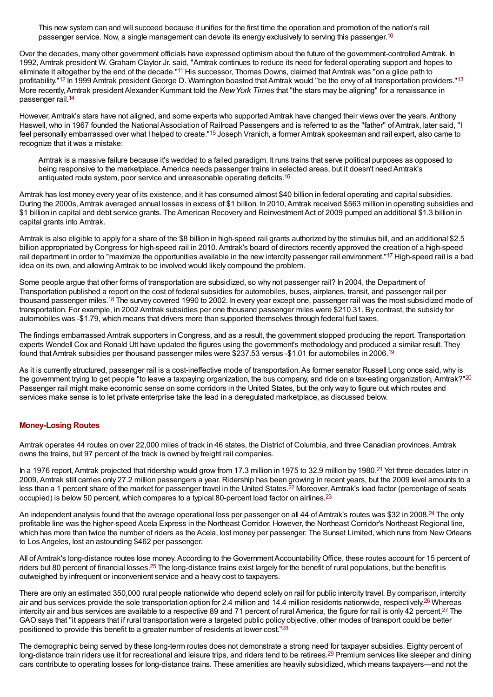<span id="page-1-4"></span><span id="page-1-2"></span><span id="page-1-1"></span>This new system can and will succeed because it unifies for the first time the operation and promotion of the nation's rail passenger service. Now, a single management can devote its energy exclusively to serving this passenger.<sup>[10](#page-4-0)</sup>

<span id="page-1-3"></span>Over the decades, many other government officials have expressed optimism about the future of the government-controlled Amtrak. In 1992,Amtrak president W. Graham Claytor Jr. said, "Amtrak continues to reduce its need for federal operating support and hopes to eliminate it altogether by the end of the decade."[11](#page-4-1) His successor, Thomas Downs, claimed that Amtrak was "on a glide path to profitability."<sup>[12](#page-4-2)</sup> In 1999 Amtrak president George D. Warrington boasted that Amtrak would "be the envy of all transportation providers."<sup>[13](#page-4-3)</sup> More recently, Amtrak president Alexander Kummant told the *New York Times* that "the stars may be aligning" for a renaissance in passenger rail. [14](#page-4-4)

<span id="page-1-5"></span>However,Amtrak's stars have not aligned, and some experts who supported Amtrak have changed their views over the years.Anthony Haswell, who in 1967 founded the National Association of Railroad Passengers and is referred to as the "father" of Amtrak, later said, "I feel personally embarrassed over what I helped to create."[15](#page-4-5) Joseph Vranich, a former Amtrak spokesman and rail expert, also came to recognize that it was a mistake:

<span id="page-1-8"></span><span id="page-1-7"></span><span id="page-1-6"></span>Amtrak is a massive failure because it's wedded to a failed paradigm. It runs trains that serve political purposes as opposed to being responsive to the marketplace. America needs passenger trains in selected areas, but it doesn't need Amtrak's antiquated route system, poor service and unreasonable operating deficits. [16](#page-4-6)

Amtrak has lost money every year of its existence, and it has consumed almost \$40 billion in federal operating and capital subsidies. During the 2000s,Amtrak averaged annual losses in excess of \$1 billion. In 2010,Amtrak received \$563 million in operating subsidies and \$1 billion in capital and debt service grants. The American Recovery and ReinvestmentAct of 2009 pumped an additional \$1.3 billion in capital grants into Amtrak.

Amtrak is also eligible to apply for a share of the \$8 billion in high-speed rail grants authorized by the stimulus bill, and an additional \$2.5 billion appropriated by Congress for high-speed rail in 2010.Amtrak's board of directors recently approved the creation of a high-speed rail department in order to "maximize the opportunities available in the new intercity passenger rail environment."<sup>[17](#page-4-7)</sup> High-speed rail is a bad idea on its own, and allowing Amtrak to be involved would likely compound the problem.

<span id="page-1-9"></span>Some people argue that other forms of transportation are subsidized, so why not passenger rail? In 2004, the Department of Transportation published a report on the cost of federal subsidies for automobiles, buses, airplanes, transit, and passenger rail per thousand passenger miles.<sup>[18](#page-4-8)</sup> The survey covered 1990 to 2002. In every year except one, passenger rail was the most subsidized mode of transportation. For example, in 2002 Amtrak subsidies per one thousand passenger miles were \$210.31. By contrast, the subsidy for automobiles was -\$1.79, which means that drivers more than supported themselves through federal fuel taxes.

The findings embarrassed Amtrak supporters in Congress, and as a result, the government stopped producing the report. Transportation experts Wendell Cox and Ronald Utt have updated the figures using the government's methodology and produced a similar result. They found that Amtrak subsidies per thousand passenger miles were \$237.53 versus -\$1.01 for automobiles in 2006.<sup>[19](#page-4-9)</sup>

<span id="page-1-11"></span><span id="page-1-10"></span>As it is currently structured, passenger rail is a cost-ineffective mode of transportation. As former senator Russell Long once said, why is the government trying to get people "to leave a taxpaying organization, the bus company, and ride on a tax-eating organization, Amtrak?"<sup>[20](#page-4-10)</sup> Passenger rail might make economic sense on some corridors in the United States, but the only way to figure out which routes and services make sense is to let private enterprise take the lead in a deregulated marketplace, as discussed below.

#### <span id="page-1-0"></span>**[Money-Losing](#page-0-2) Routes**

Amtrak operates 44 routes on over 22,000 miles of track in 46 states, the District of Columbia, and three Canadian provinces.Amtrak owns the trains, but 97 percent of the track is owned by freight rail companies.

<span id="page-1-13"></span><span id="page-1-12"></span>In a 1976 report, Amtrak projected that ridership would grow from 17.3 million in 1975 to 32.9 million by 1980.<sup>[21](#page-4-11)</sup> Yet three decades later in 2009,Amtrak still carries only 27.2 million passengers a year. Ridership has been growing in recent years, but the 2009 level amounts to a less than a 1 percent share of the market for passenger travel in the United States.<sup>[22](#page-4-12)</sup> Moreover, Amtrak's load factor (percentage of seats occupied) is below 50 percent, which compares to a typical 80-percent load factor on airlines.<sup>[23](#page-4-13)</sup>

<span id="page-1-15"></span><span id="page-1-14"></span>An independent analysis found that the average operational loss per passenger on all 44 of Amtrak's routes was \$32 in 2008.<sup>[24](#page-4-14)</sup> The only profitable line was the higher-speed Acela Express in the Northeast Corridor. However, the Northeast Corridor's Northeast Regional line, which has more than twice the number of riders as the Acela, lost money per passenger. The Sunset Limited, which runs from New Orleans to Los Angeles, lost an astounding \$462 per passenger.

<span id="page-1-16"></span>All of Amtrak's long-distance routes lose money. According to the Government Accountability Office, these routes account for 15 percent of riders but 80 percent of financial losses.<sup>[25](#page-4-15)</sup> The long-distance trains exist largely for the benefit of rural populations, but the benefit is outweighed by infrequent or inconvenient service and a heavy cost to taxpayers.

<span id="page-1-18"></span><span id="page-1-17"></span>There are only an estimated 350,000 rural people nationwide who depend solely on rail for public intercity travel. By comparison, intercity air and bus services provide the sole transportation option for 2.4 million and 14.4 million residents nationwide, respectively.<sup>[26](#page-4-16)</sup> Whereas intercity air and bus services are available to a respective 89 and 71 percent of rural America, the figure for rail is only 42 percent.<sup>[27](#page-4-17)</sup> The GAO says that "it appears that if rural transportation were a targeted public policy objective, other modes of transport could be better positioned to provide this benefit to a greater number of residents at lower cost."<sup>[28](#page-4-18)</sup>

<span id="page-1-20"></span><span id="page-1-19"></span>The demographic being served by these long-term routes does not demonstrate a strong need for taxpayer subsidies. Eighty percent of long-distance train riders use it for recreational and leisure trips, and riders tend to be retirees.<sup>[29](#page-4-19)</sup> Premium services like sleeper and dining cars contribute to operating losses for long-distance trains. These amenities are heavily subsidized, which means taxpayers—and not the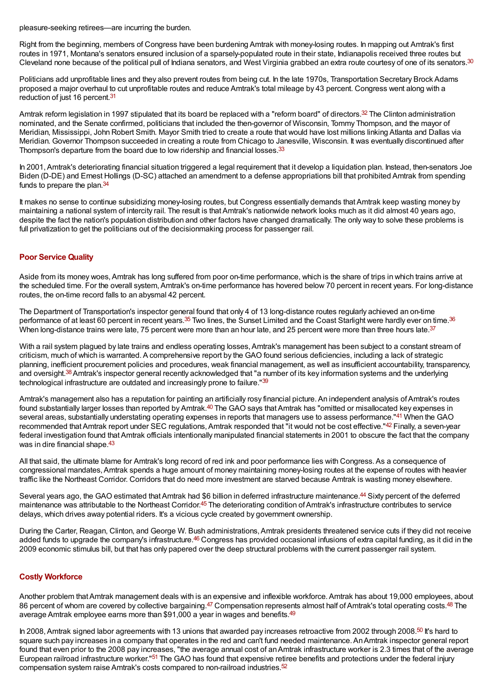pleasure-seeking retirees—are incurring the burden.

<span id="page-2-2"></span>Right from the beginning, members of Congress have been burdening Amtrak with money-losing routes. In mapping out Amtrak's first routes in 1971, Montana's senators ensured inclusion of a sparsely-populated route in their state, Indianapolis received three routes but Cleveland none because of the political pull of Indiana senators, and West Virginia grabbed an extra route courtesy of one of its senators.<sup>[30](#page-4-20)</sup>

<span id="page-2-3"></span>Politicians add unprofitable lines and they also prevent routes from being cut. In the late 1970s, Transportation Secretary Brock Adams proposed a major overhaul to cut unprofitable routes and reduce Amtrak's total mileage by 43 percent. Congress went along with a reduction of just 16 percent.<sup>[31](#page-4-21)</sup>

<span id="page-2-4"></span>Amtrak reform legislation in 1997 stipulated that its board be replaced with a "reform board" of directors.<sup>[32](#page-4-22)</sup> The Clinton administration nominated, and the Senate confirmed, politicians that included the then-governor of Wisconsin, Tommy Thompson, and the mayor of Meridian, Mississippi, John Robert Smith. Mayor Smith tried to create a route that would have lost millions linking Atlanta and Dallas via Meridian. Governor Thompson succeeded in creating a route from Chicago to Janesville, Wisconsin. It was eventually discontinued after Thompson's departure from the board due to low ridership and financial losses.<sup>[33](#page-4-23)</sup>

<span id="page-2-6"></span><span id="page-2-5"></span>In 2001,Amtrak's deteriorating financial situation triggered a legal requirement that it develop a liquidation plan. Instead, then-senators Joe Biden (D-DE) and Ernest Hollings (D-SC) attached an amendment to a defense appropriations bill that prohibited Amtrak from spending funds to prepare the plan.<sup>[34](#page-4-24)</sup>

It makes no sense to continue subsidizing money-losing routes, but Congress essentially demands that Amtrak keep wasting money by maintaining a national system of intercity rail. The result is thatAmtrak's nationwide network looks much as it did almost 40 years ago, despite the fact the nation's population distribution and other factors have changed dramatically. The only way to solve these problems is full privatization to get the politicians out of the decisionmaking process for passenger rail.

## <span id="page-2-0"></span>**Poor [Service](#page-0-2) Quality**

Aside from its money woes,Amtrak has long suffered from poor on-time performance, which is the share of trips in which trains arrive at the scheduled time. For the overall system,Amtrak's on-time performance has hovered below 70 percent in recent years. For long-distance routes, the on-time record falls to an abysmal 42 percent.

<span id="page-2-9"></span><span id="page-2-8"></span><span id="page-2-7"></span>The Department of Transportation's inspector general found that only 4 of 13 long-distance routes regularly achieved an on-time performance of at least 60 percent in recent years.<sup>[35](#page-4-25)</sup> Two lines, the Sunset Limited and the Coast Starlight were hardly ever on time.<sup>[36](#page-4-26)</sup> When long-distance trains were late, 75 percent were more than an hour late, and 25 percent were more than three hours late.<sup>[37](#page-4-27)</sup>

<span id="page-2-10"></span>With a rail system plagued by late trains and endless operating losses. Amtrak's management has been subject to a constant stream of criticism, much of which is warranted.A comprehensive report by the GAO found serious deficiencies, including a lack of strategic planning, inefficient procurement policies and procedures, weak financial management, as well as insufficient accountability, transparency, and oversight.<sup>[38](#page-5-0)</sup> Amtrak's inspector general recently acknowledged that "a number of its key information systems and the underlying technological infrastructure are outdated and increasingly prone to failure."<sup>[39](#page-5-1)</sup>

<span id="page-2-14"></span><span id="page-2-13"></span><span id="page-2-12"></span><span id="page-2-11"></span>Amtrak's management also has a reputation for painting an artificially rosy financial picture. An independent analysis of Amtrak's routes found substantially larger losses than reported by Amtrak.<sup>[40](#page-5-2)</sup> The GAO says that Amtrak has "omitted or misallocated key expenses in several areas, substantially understating operating expenses in reports that managers use to assess performance."<sup>[41](#page-5-3)</sup> When the GAO recommended that Amtrak report under SEC regulations, Amtrak responded that "it would not be cost effective."<sup>[42](#page-5-4)</sup> Finally, a seven-year federal investigation found thatAmtrak officials intentionally manipulated financial statements in 2001 to obscure the fact that the company was in dire financial shape.<sup>[43](#page-5-5)</sup>

<span id="page-2-15"></span>All that said, the ultimate blame for Amtrak's long record of red ink and poor performance lies with Congress.As a consequence of congressional mandates,Amtrak spends a huge amount of money maintaining money-losing routes at the expense of routes with heavier traffic like the Northeast Corridor. Corridors that do need more investment are starved because Amtrak is wasting money elsewhere.

<span id="page-2-17"></span><span id="page-2-16"></span>Several years ago, the GAO estimated that Amtrak had \$6 billion in deferred infrastructure maintenance.<sup>[44](#page-5-6)</sup> Sixty percent of the deferred maintenance was attributable to the Northeast Corridor.<sup>[45](#page-5-7)</sup> The deteriorating condition of Amtrak's infrastructure contributes to service delays, which drives away potential riders. It's a vicious cycle created by government ownership.

<span id="page-2-18"></span>During the Carter, Reagan, Clinton, and George W. Bush administrations,Amtrak presidents threatened service cuts if they did not receive added funds to upgrade the company's infrastructure.<sup>[46](#page-5-8)</sup> Congress has provided occasional infusions of extra capital funding, as it did in the 2009 economic stimulus bill, but that has only papered over the deep structural problems with the current passenger rail system.

#### <span id="page-2-1"></span>**Costly [Workforce](#page-0-2)**

<span id="page-2-21"></span><span id="page-2-20"></span><span id="page-2-19"></span>Another problem thatAmtrak management deals with is an expensive and inflexible workforce.Amtrak has about 19,000 employees, about 86 percent of whom are covered by collective bargaining.<sup>[47](#page-5-9)</sup> Compensation represents almost half of Amtrak's total operating costs.<sup>[48](#page-5-10)</sup> The average Amtrak employee earns more than \$91,000 a year in wages and benefits.<sup>[49](#page-5-11)</sup>

<span id="page-2-24"></span><span id="page-2-23"></span><span id="page-2-22"></span>In 2008, Amtrak signed labor agreements with 13 unions that awarded pay increases retroactive from 2002 through 2008.<sup>[50](#page-5-12)</sup> It's hard to square such pay increases in a company that operates in the red and can't fund needed maintenance.AnAmtrak inspector general report found that even prior to the 2008 pay increases, "the average annual cost of an Amtrak infrastructure worker is 2.3 times that of the average European railroad infrastructure worker."<sup>[51](#page-5-13)</sup> The GAO has found that expensive retiree benefits and protections under the federal injury compensation system raise Amtrak's costs compared to non-railroad industries. [52](#page-5-14)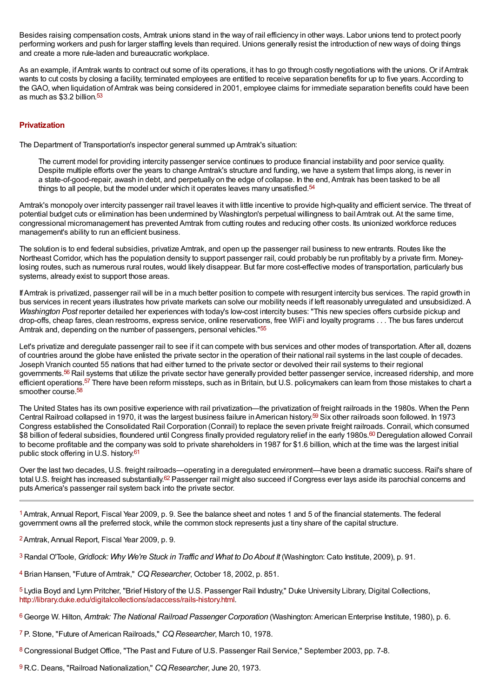Besides raising compensation costs, Amtrak unions stand in the way of rail efficiency in other ways. Labor unions tend to protect poorly performing workers and push for larger staffing levels than required. Unions generally resist the introduction of new ways of doing things and create a more rule-laden and bureaucratic workplace.

<span id="page-3-10"></span>As an example, ifAmtrak wants to contract out some of its operations, it has to go through costly negotiations with the unions. Or ifAmtrak wants to cut costs by closing a facility, terminated employees are entitled to receive separation benefits for up to five years.According to the GAO, when liquidation ofAmtrak was being considered in 2001, employee claims for immediate separation benefits could have been as much as \$3.2 billion.<sup>[53](#page-5-15)</sup>

### <span id="page-3-0"></span>**[Privatization](#page-0-2)**

The Department of Transportation's inspector general summed up Amtrak's situation:

<span id="page-3-11"></span>The current model for providing intercity passenger service continues to produce financial instability and poor service quality. Despite multiple efforts over the years to change Amtrak's structure and funding, we have a system that limps along, is never in a state-of-good-repair, awash in debt, and perpetually on the edge of collapse. In the end,Amtrak has been tasked to be all things to all people, but the model under which it operates leaves many unsatisfied.<sup>[54](#page-5-16)</sup>

Amtrak's monopoly over intercity passenger rail travel leaves it with little incentive to provide high-quality and efficient service. The threat of potential budget cuts or elimination has been undermined by Washington's perpetual willingness to bail Amtrak out. At the same time, congressional micromanagement has prevented Amtrak from cutting routes and reducing other costs. Its unionized workforce reduces management's ability to run an efficient business.

The solution is to end federal subsidies, privatize Amtrak, and open up the passenger rail business to new entrants. Routes like the Northeast Corridor, which has the population density to support passenger rail, could probably be run profitably by a private firm. Moneylosing routes, such as numerous rural routes, would likely disappear. But far more cost-effective modes of transportation, particularly bus systems, already exist to support those areas.

IfAmtrak is privatized, passenger rail will be in a much better position to compete with resurgent intercity bus services. The rapid growth in bus services in recent years illustrates how private markets can solve our mobility needs if left reasonably unregulated and unsubsidized.A *Washington Post* reporter detailed her experiences with today's low-cost intercity buses: "This new species offers curbside pickup and drop-offs, cheap fares, clean restrooms, express service, online reservations, free WiFi and loyalty programs . . . The bus fares undercut Amtrak and, depending on the number of passengers, personal vehicles."<sup>[55](#page-5-17)</sup>

<span id="page-3-13"></span><span id="page-3-12"></span>Let's privatize and deregulate passenger rail to see if it can compete with bus services and other modes of transportation. After all, dozens of countries around the globe have enlisted the private sector in the operation of their national rail systems in the last couple of decades. Joseph Vranich counted 55 nations that had either turned to the private sector or devolved their rail systems to their regional governments.<sup>[56](#page-5-18)</sup> Rail systems that utilize the private sector have generally provided better passenger service, increased ridership, and more efficient operations.<sup>[57](#page-5-19)</sup> There have been reform missteps, such as in Britain, but U.S. policymakers can learn from those mistakes to chart a smoother course. [58](#page-5-20)

<span id="page-3-17"></span><span id="page-3-16"></span><span id="page-3-15"></span><span id="page-3-14"></span>The United States has its own positive experience with rail privatization—the privatization of freight railroads in the 1980s. When the Penn Central Railroad collapsed in 1970, it was the largest business failure in American history.<sup>[59](#page-5-21)</sup> Six other railroads soon followed. In 1973 Congress established the Consolidated Rail Corporation (Conrail) to replace the seven private freight railroads. Conrail, which consumed \$8 billion of federal subsidies, floundered until Congress finally provided regulatory relief in the early 1980s.<sup>[60](#page-5-22)</sup> Deregulation allowed Conrail to become profitable and the company was sold to private shareholders in 1987 for \$1.6 billion, which at the time was the largest initial public stock offering in U.S. history. [61](#page-5-23)

<span id="page-3-19"></span><span id="page-3-18"></span>Over the last two decades, U.S. freight railroads—operating in a deregulated environment—have been a dramatic success. Rail's share of total U.S. freight has increased substantially.<sup>[62](#page-5-24)</sup> Passenger rail might also succeed if Congress ever lays aside its parochial concerns and puts America's passenger rail system back into the private sector.

<span id="page-3-1"></span><sup>[1](#page-0-3)</sup> Amtrak, Annual Report, Fiscal Year 2009, p. 9. See the balance sheet and notes 1 and 5 of the financial statements. The federal government owns all the preferred stock, while the common stock represents just a tiny share of the capital structure.

<span id="page-3-2"></span><sup>[2](#page-0-4)</sup> Amtrak, Annual Report, Fiscal Year 2009, p. 9.

<span id="page-3-3"></span>Randal O'Toole, *Gridlock: Why We're Stuck in Traffic and What to DoAbout It* (Washington: Cato Institute, 2009), p. 91. [3](#page-0-5)

<span id="page-3-4"></span><sup>[4](#page-0-6)</sup> Brian Hansen, "Future of Amtrak," CQ Researcher, October 18, 2002, p. 851.

<span id="page-3-5"></span><sup>[5](#page-0-7)</sup> Lydia Boyd and Lynn Pritcher, "Brief History of the U.S. Passenger Rail Industry," Duke University Library, Digital Collections, <http://library.duke.edu/digitalcollections/adaccess/rails-history.html>.

<span id="page-3-6"></span>George W. Hilton, *Amtrak: The National Railroad Passenger Corporation* (Washington:American Enterprise Institute, 1980), p. 6. [6](#page-0-8)

<span id="page-3-7"></span><sup>[7](#page-0-9)</sup> P. Stone, "Future of American Railroads," CQ Researcher, March 10, 1978.

<span id="page-3-8"></span>[8](#page-0-10) Congressional Budget Office, "The Past and Future of U.S. Passenger Rail Service," September 2003, pp. 7-8.

<span id="page-3-9"></span><sup>[9](#page-0-11)</sup> R.C. Deans, "Railroad Nationalization," CQ Researcher, June 20, 1973.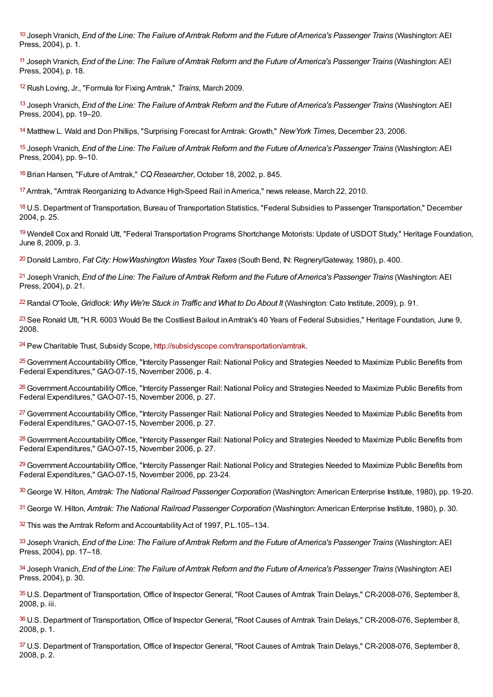<span id="page-4-0"></span>Joseph Vranich, *End of the Line: The Failure ofAmtrak Reform and the Future ofAmerica's Passenger Trains* (Washington:AEI [10](#page-1-1) Press, 2004), p. 1.

<span id="page-4-1"></span>Joseph Vranich, *End of the Line: The Failure ofAmtrak Reform and the Future ofAmerica's Passenger Trains* (Washington:AEI [11](#page-1-2) Press, 2004), p. 18.

<span id="page-4-2"></span><sup>[12](#page-1-3)</sup> Rush Loving, Jr., "Formula for Fixing Amtrak," Trains, March 2009.

<span id="page-4-3"></span>Joseph Vranich, *End of the Line: The Failure ofAmtrak Reform and the Future ofAmerica's Passenger Trains* (Washington:AEI [13](#page-1-4) Press, 2004), pp. 19–20.

<span id="page-4-4"></span>[14](#page-1-5) Matthew L. Wald and Don Phillips, "Surprising Forecast for Amtrak: Growth," New York Times, December 23, 2006.

<span id="page-4-5"></span>Joseph Vranich, *End of the Line: The Failure ofAmtrak Reform and the Future ofAmerica's Passenger Trains* (Washington:AEI [15](#page-1-6) Press, 2004), pp. 9–10.

<span id="page-4-6"></span><sup>[16](#page-1-7)</sup> Brian Hansen, "Future of Amtrak," CQ Researcher, October 18, 2002, p. 845.

<span id="page-4-7"></span><sup>[17](#page-1-8)</sup> Amtrak, "Amtrak Reorganizing to Advance High-Speed Rail in America," news release, March 22, 2010.

<span id="page-4-8"></span>[18](#page-1-9) U.S. Department of Transportation, Bureau of Transportation Statistics, "Federal Subsidies to Passenger Transportation," December 2004, p. 25.

<span id="page-4-9"></span><sup>[19](#page-1-10)</sup> Wendell Cox and Ronald Utt, "Federal Transportation Programs Shortchange Motorists: Update of USDOT Study," Heritage Foundation, June 8, 2009, p. 3.

<span id="page-4-10"></span>Donald Lambro, *Fat City: HowWashington Wastes Your Taxes* (South Bend, IN: Regnery/Gateway, 1980), p. 400. [20](#page-1-11)

<span id="page-4-11"></span>Joseph Vranich, *End of the Line: The Failure ofAmtrak Reform and the Future ofAmerica's Passenger Trains* (Washington:AEI [21](#page-1-12) Press, 2004), p. 21.

<span id="page-4-12"></span>Randal O'Toole, *Gridlock: Why We're Stuck in Traffic and What to DoAbout It* (Washington: Cato Institute, 2009), p. 91. [22](#page-1-13)

<span id="page-4-13"></span> $^{23}$  $^{23}$  $^{23}$  See Ronald Utt, "H.R. 6003 Would Be the Costliest Bailout in Amtrak's 40 Years of Federal Subsidies," Heritage Foundation, June 9, 2008.

<span id="page-4-14"></span><sup>24</sup> Pew Charitable Trust, Subsidy Scope, [http://subsidyscope.com/transportation/amtrak](http://subsidyscope.com/transportation/amtrak/).

<span id="page-4-15"></span><sup>[25](#page-1-16)</sup> Government Accountability Office, "Intercity Passenger Rail: National Policy and Strategies Needed to Maximize Public Benefits from Federal Expenditures," GAO-07-15, November 2006, p. 4.

<span id="page-4-16"></span><sup>[26](#page-1-17)</sup> Government Accountability Office, "Intercity Passenger Rail: National Policy and Strategies Needed to Maximize Public Benefits from Federal Expenditures," GAO-07-15, November 2006, p. 27.

<span id="page-4-17"></span><sup>[27](#page-1-18)</sup> Government Accountability Office, "Intercity Passenger Rail: National Policy and Strategies Needed to Maximize Public Benefits from Federal Expenditures," GAO-07-15, November 2006, p. 27.

<span id="page-4-18"></span><sup>[28](#page-1-19)</sup> Government Accountability Office, "Intercity Passenger Rail: National Policy and Strategies Needed to Maximize Public Benefits from Federal Expenditures," GAO-07-15, November 2006, p. 27.

<span id="page-4-19"></span><sup>[29](#page-1-20)</sup> Government Accountability Office, "Intercity Passenger Rail: National Policy and Strategies Needed to Maximize Public Benefits from Federal Expenditures," GAO-07-15, November 2006, pp. 23-24.

<span id="page-4-20"></span>George W. Hilton, *Amtrak: The National Railroad Passenger Corporation* (Washington:American Enterprise Institute, 1980), pp. 19-20. [30](#page-2-2)

<span id="page-4-21"></span>George W. Hilton, *Amtrak: The National Railroad Passenger Corporation* (Washington:American Enterprise Institute, 1980), p. 30. [31](#page-2-3)

<span id="page-4-22"></span> $32$  This was the Amtrak Reform and Accountability Act of 1997, P.L.105-134.

<span id="page-4-23"></span>Joseph Vranich, *End of the Line: The Failure ofAmtrak Reform and the Future ofAmerica's Passenger Trains* (Washington:AEI [33](#page-2-5) Press, 2004), pp. 17–18.

<span id="page-4-24"></span>Joseph Vranich, *End of the Line: The Failure ofAmtrak Reform and the Future ofAmerica's Passenger Trains* (Washington:AEI [34](#page-2-6) Press, 2004), p. 30.

<span id="page-4-25"></span>[35](#page-2-7) U.S. Department of Transportation, Office of Inspector General, "Root Causes of Amtrak Train Delays," CR-2008-076, September 8, 2008, p. iii.

<span id="page-4-26"></span>[36](#page-2-8) U.S. Department of Transportation, Office of Inspector General, "Root Causes of Amtrak Train Delays," CR-2008-076, September 8, 2008, p. 1.

<span id="page-4-27"></span>[37](#page-2-9) U.S. Department of Transportation, Office of Inspector General, "Root Causes of Amtrak Train Delays," CR-2008-076, September 8, 2008, p. 2.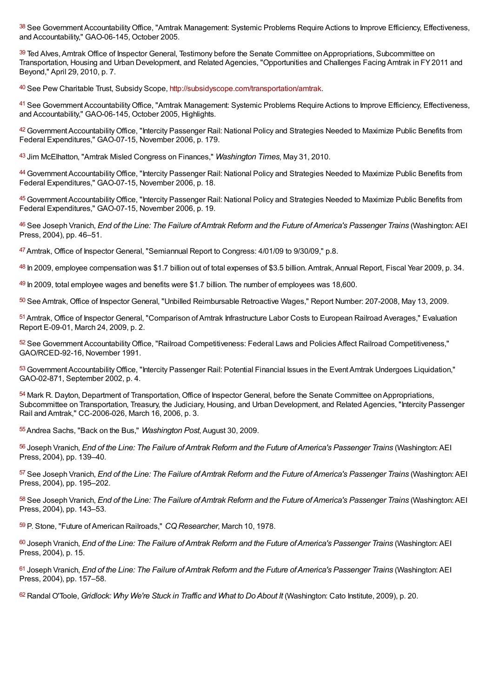<span id="page-5-0"></span>[38](#page-2-10) See Government Accountability Office, "Amtrak Management: Systemic Problems Require Actions to Improve Efficiency, Effectiveness, and Accountability," GAO-06-145, October 2005.

<span id="page-5-1"></span>[39](#page-2-11) Ted Alves, Amtrak Office of Inspector General, Testimony before the Senate Committee on Appropriations, Subcommittee on Transportation, Housing and Urban Development, and Related Agencies, "Opportunities and Challenges Facing Amtrak in FY2011 and Beyond," April 29, 2010, p. 7.

<span id="page-5-2"></span>40 See Pew Charitable Trust, Subsidy Scope, [http://subsidyscope.com/transportation/amtrak](http://subsidyscope.com/transportation/amtrak/).

<span id="page-5-3"></span><sup>[41](#page-2-13)</sup> See Government Accountability Office, "Amtrak Management: Systemic Problems Require Actions to Improve Efficiency, Effectiveness, and Accountability," GAO-06-145, October 2005, Highlights.

<span id="page-5-4"></span>[42](#page-2-14) Government Accountability Office, "Intercity Passenger Rail: National Policy and Strategies Needed to Maximize Public Benefits from Federal Expenditures," GAO-07-15, November 2006, p. 179.

<span id="page-5-5"></span>Jim McElhatton, "Amtrak Misled Congress on Finances," *Washington Times*, May 31, 2010. [43](#page-2-15)

<span id="page-5-6"></span><sup>[44](#page-2-16)</sup> Government Accountability Office, "Intercity Passenger Rail: National Policy and Strategies Needed to Maximize Public Benefits from Federal Expenditures," GAO-07-15, November 2006, p. 18.

<span id="page-5-7"></span>[45](#page-2-17) Government Accountability Office, "Intercity Passenger Rail: National Policy and Strategies Needed to Maximize Public Benefits from Federal Expenditures," GAO-07-15, November 2006, p. 19.

<span id="page-5-8"></span><sup>[46](#page-2-18)</sup> See Joseph Vranich, *End of the Line: The Failure of Amtrak Reform and the Future of America's Passenger Trains (Washington: AEI* Press, 2004), pp. 46–51.

<span id="page-5-9"></span>[47](#page-2-19) Amtrak, Office of Inspector General, "Semiannual Report to Congress: 4/01/09 to 9/30/09," p.8.

<span id="page-5-10"></span>[48](#page-2-20) In 2009, employee compensation was \$1.7 billion out of total expenses of \$3.5 billion. Amtrak, Annual Report, Fiscal Year 2009, p. 34.

<span id="page-5-11"></span> $49$  ln 2009, total employee wages and benefits were \$1.7 billion. The number of employees was 18,600.

<span id="page-5-12"></span>[50](#page-2-22) See Amtrak, Office of Inspector General, "Unbilled Reimbursable Retroactive Wages," Report Number: 207-2008, May 13, 2009.

<span id="page-5-13"></span>[51](#page-2-23) Amtrak, Office of Inspector General, "Comparison of Amtrak Infrastructure Labor Costs to European Railroad Averages," Evaluation Report E-09-01, March 24, 2009, p. 2.

<span id="page-5-14"></span>[52](#page-2-24) See Government Accountability Office, "Railroad Competitiveness: Federal Laws and Policies Affect Railroad Competitiveness," GAO/RCED-92-16, November 1991.

<span id="page-5-15"></span>[53](#page-3-10) Government Accountability Office, "Intercity Passenger Rail: Potential Financial Issues in the Event Amtrak Undergoes Liquidation," GAO-02-871, September 2002, p. 4.

<span id="page-5-16"></span>[54](#page-3-11) Mark R. Dayton, Department of Transportation, Office of Inspector General, before the Senate Committee on Appropriations, Subcommittee on Transportation, Treasury, the Judiciary, Housing, and Urban Development, and Related Agencies, "Intercity Passenger Rail and Amtrak," CC-2006-026, March 16, 2006, p. 3.

<span id="page-5-17"></span>Andrea Sachs, "Back on the Bus," *Washington Post*,August 30, 2009. [55](#page-3-12)

<span id="page-5-18"></span>Joseph Vranich, *End of the Line: The Failure ofAmtrak Reform and the Future ofAmerica's Passenger Trains* (Washington:AEI [56](#page-3-13) Press, 2004), pp. 139–40.

<span id="page-5-19"></span>[57](#page-3-14) See Joseph Vranich, End of the Line: The Failure of Amtrak Reform and the Future of America's Passenger Trains (Washington: AEI Press, 2004), pp. 195–202.

<span id="page-5-20"></span>[58](#page-3-15) See Joseph Vranich, End of the Line: The Failure of Amtrak Reform and the Future of America's Passenger Trains (Washington: AEI Press, 2004), pp. 143–53.

<span id="page-5-21"></span>[59](#page-3-16) P. Stone, "Future of American Railroads," CQ Researcher, March 10, 1978.

<span id="page-5-22"></span>Joseph Vranich, *End of the Line: The Failure ofAmtrak Reform and the Future ofAmerica's Passenger Trains* (Washington:AEI [60](#page-3-17) Press, 2004), p. 15.

<span id="page-5-23"></span>Joseph Vranich, *End of the Line: The Failure ofAmtrak Reform and the Future ofAmerica's Passenger Trains* (Washington:AEI [61](#page-3-18) Press, 2004), pp. 157–58.

<span id="page-5-24"></span>Randal O'Toole, *Gridlock: Why We're Stuck in Traffic and What to DoAbout It* (Washington: Cato Institute, 2009), p. 20. [62](#page-3-19)